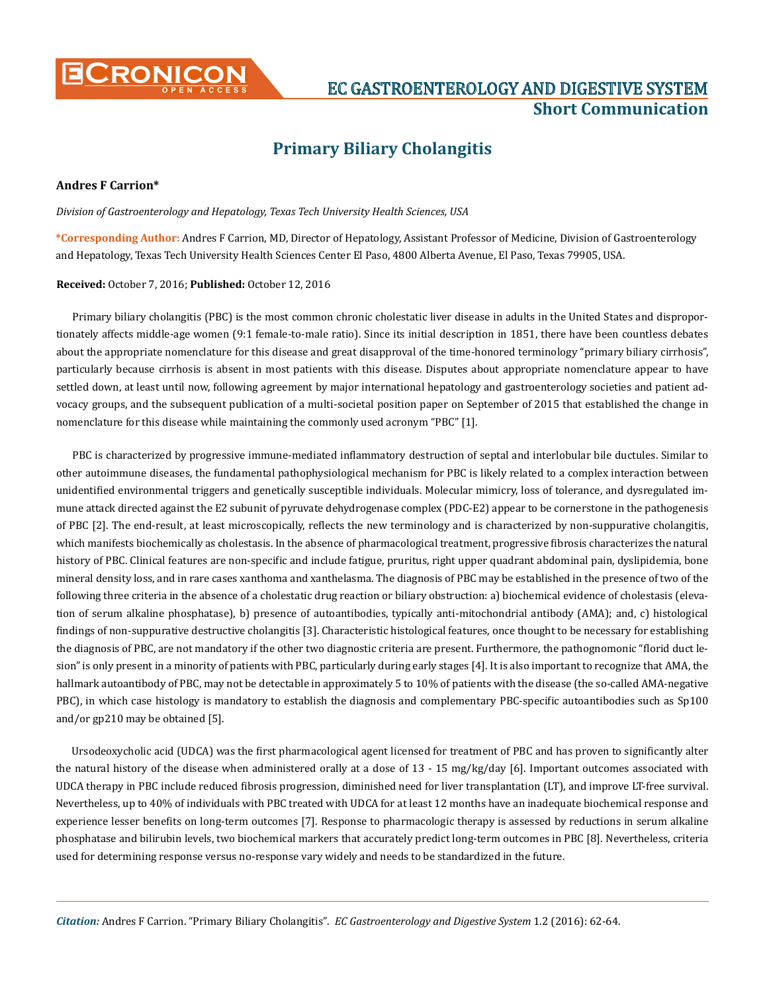

# **CRONICON EC GASTROENTEROLOGY AND DIGESTIVE SYSTEM Short Communication**

## **Primary Biliary Cholangitis**

### **Andres F Carrion\***

*Division of Gastroenterology and Hepatology, Texas Tech University Health Sciences, USA* 

**\*Corresponding Author:** Andres F Carrion, MD, Director of Hepatology, Assistant Professor of Medicine, Division of Gastroenterology and Hepatology, Texas Tech University Health Sciences Center El Paso, 4800 Alberta Avenue, El Paso, Texas 79905, USA.

#### **Received:** October 7, 2016; **Published:** October 12, 2016

Primary biliary cholangitis (PBC) is the most common chronic cholestatic liver disease in adults in the United States and disproportionately affects middle-age women (9:1 female-to-male ratio). Since its initial description in 1851, there have been countless debates about the appropriate nomenclature for this disease and great disapproval of the time-honored terminology "primary biliary cirrhosis", particularly because cirrhosis is absent in most patients with this disease. Disputes about appropriate nomenclature appear to have settled down, at least until now, following agreement by major international hepatology and gastroenterology societies and patient advocacy groups, and the subsequent publication of a multi-societal position paper on September of 2015 that established the change in nomenclature for this disease while maintaining the commonly used acronym "PBC" [1].

PBC is characterized by progressive immune-mediated inflammatory destruction of septal and interlobular bile ductules. Similar to other autoimmune diseases, the fundamental pathophysiological mechanism for PBC is likely related to a complex interaction between unidentified environmental triggers and genetically susceptible individuals. Molecular mimicry, loss of tolerance, and dysregulated immune attack directed against the E2 subunit of pyruvate dehydrogenase complex (PDC-E2) appear to be cornerstone in the pathogenesis of PBC [2]. The end-result, at least microscopically, reflects the new terminology and is characterized by non-suppurative cholangitis, which manifests biochemically as cholestasis. In the absence of pharmacological treatment, progressive fibrosis characterizes the natural history of PBC. Clinical features are non-specific and include fatigue, pruritus, right upper quadrant abdominal pain, dyslipidemia, bone mineral density loss, and in rare cases xanthoma and xanthelasma. The diagnosis of PBC may be established in the presence of two of the following three criteria in the absence of a cholestatic drug reaction or biliary obstruction: a) biochemical evidence of cholestasis (elevation of serum alkaline phosphatase), b) presence of autoantibodies, typically anti-mitochondrial antibody (AMA); and, c) histological findings of non-suppurative destructive cholangitis [3]. Characteristic histological features, once thought to be necessary for establishing the diagnosis of PBC, are not mandatory if the other two diagnostic criteria are present. Furthermore, the pathognomonic "florid duct lesion" is only present in a minority of patients with PBC, particularly during early stages [4]. It is also important to recognize that AMA, the hallmark autoantibody of PBC, may not be detectable in approximately 5 to 10% of patients with the disease (the so-called AMA-negative PBC), in which case histology is mandatory to establish the diagnosis and complementary PBC-specific autoantibodies such as Sp100 and/or gp210 may be obtained [5].

Ursodeoxycholic acid (UDCA) was the first pharmacological agent licensed for treatment of PBC and has proven to significantly alter the natural history of the disease when administered orally at a dose of 13 - 15 mg/kg/day [6]. Important outcomes associated with UDCA therapy in PBC include reduced fibrosis progression, diminished need for liver transplantation (LT), and improve LT-free survival. Nevertheless, up to 40% of individuals with PBC treated with UDCA for at least 12 months have an inadequate biochemical response and experience lesser benefits on long-term outcomes [7]. Response to pharmacologic therapy is assessed by reductions in serum alkaline phosphatase and bilirubin levels, two biochemical markers that accurately predict long-term outcomes in PBC [8]. Nevertheless, criteria used for determining response versus no-response vary widely and needs to be standardized in the future.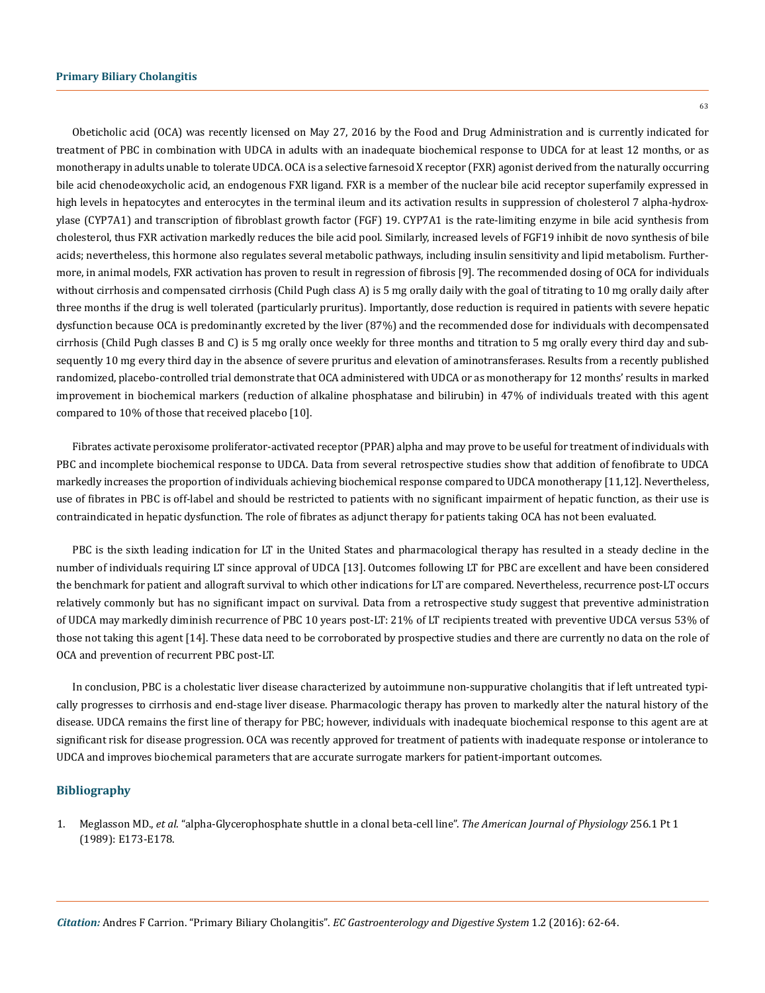63

Obeticholic acid (OCA) was recently licensed on May 27, 2016 by the Food and Drug Administration and is currently indicated for treatment of PBC in combination with UDCA in adults with an inadequate biochemical response to UDCA for at least 12 months, or as monotherapy in adults unable to tolerate UDCA. OCA is a selective farnesoid X receptor (FXR) agonist derived from the naturally occurring bile acid chenodeoxycholic acid, an endogenous FXR ligand. FXR is a member of the nuclear bile acid receptor superfamily expressed in high levels in hepatocytes and enterocytes in the terminal ileum and its activation results in suppression of cholesterol 7 alpha-hydroxylase (CYP7A1) and transcription of fibroblast growth factor (FGF) 19. CYP7A1 is the rate-limiting enzyme in bile acid synthesis from cholesterol, thus FXR activation markedly reduces the bile acid pool. Similarly, increased levels of FGF19 inhibit de novo synthesis of bile acids; nevertheless, this hormone also regulates several metabolic pathways, including insulin sensitivity and lipid metabolism. Furthermore, in animal models, FXR activation has proven to result in regression of fibrosis [9]. The recommended dosing of OCA for individuals without cirrhosis and compensated cirrhosis (Child Pugh class A) is 5 mg orally daily with the goal of titrating to 10 mg orally daily after three months if the drug is well tolerated (particularly pruritus). Importantly, dose reduction is required in patients with severe hepatic dysfunction because OCA is predominantly excreted by the liver (87%) and the recommended dose for individuals with decompensated cirrhosis (Child Pugh classes B and C) is 5 mg orally once weekly for three months and titration to 5 mg orally every third day and subsequently 10 mg every third day in the absence of severe pruritus and elevation of aminotransferases. Results from a recently published randomized, placebo-controlled trial demonstrate that OCA administered with UDCA or as monotherapy for 12 months' results in marked improvement in biochemical markers (reduction of alkaline phosphatase and bilirubin) in 47% of individuals treated with this agent compared to 10% of those that received placebo [10].

Fibrates activate peroxisome proliferator-activated receptor (PPAR) alpha and may prove to be useful for treatment of individuals with PBC and incomplete biochemical response to UDCA. Data from several retrospective studies show that addition of fenofibrate to UDCA markedly increases the proportion of individuals achieving biochemical response compared to UDCA monotherapy [11,12]. Nevertheless, use of fibrates in PBC is off-label and should be restricted to patients with no significant impairment of hepatic function, as their use is contraindicated in hepatic dysfunction. The role of fibrates as adjunct therapy for patients taking OCA has not been evaluated.

PBC is the sixth leading indication for LT in the United States and pharmacological therapy has resulted in a steady decline in the number of individuals requiring LT since approval of UDCA [13]. Outcomes following LT for PBC are excellent and have been considered the benchmark for patient and allograft survival to which other indications for LT are compared. Nevertheless, recurrence post-LT occurs relatively commonly but has no significant impact on survival. Data from a retrospective study suggest that preventive administration of UDCA may markedly diminish recurrence of PBC 10 years post-LT: 21% of LT recipients treated with preventive UDCA versus 53% of those not taking this agent [14]. These data need to be corroborated by prospective studies and there are currently no data on the role of OCA and prevention of recurrent PBC post-LT.

In conclusion, PBC is a cholestatic liver disease characterized by autoimmune non-suppurative cholangitis that if left untreated typically progresses to cirrhosis and end-stage liver disease. Pharmacologic therapy has proven to markedly alter the natural history of the disease. UDCA remains the first line of therapy for PBC; however, individuals with inadequate biochemical response to this agent are at significant risk for disease progression. OCA was recently approved for treatment of patients with inadequate response or intolerance to UDCA and improves biochemical parameters that are accurate surrogate markers for patient-important outcomes.

#### **Bibliography**

1. Meglasson MD., *et al*[. "alpha-Glycerophosphate shuttle in a clonal beta-cell line".](https://www.ncbi.nlm.nih.gov/pubmed/2643340) *The American Journal of Physiology* 256.1 Pt 1 [\(1989\): E173-E178.](https://www.ncbi.nlm.nih.gov/pubmed/2643340)